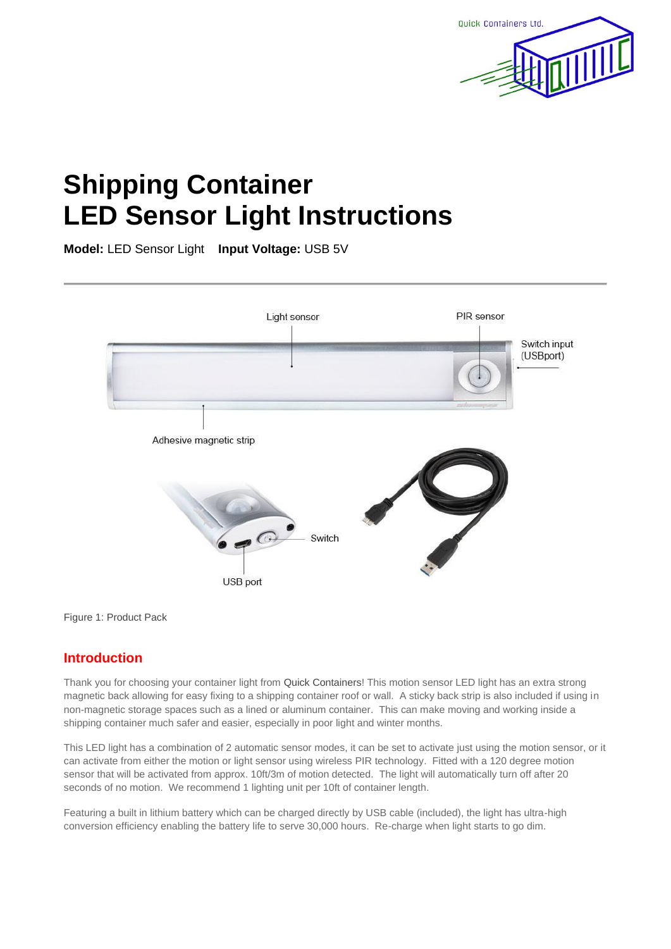

# **Shipping Container LED Sensor Light Instructions**

**Model:** LED Sensor Light **Input Voltage:** USB 5V



Figure 1: Product Pack

## **Introduction**

Thank you for choosing your container light from Quick Containers! This motion sensor LED light has an extra strong magnetic back allowing for easy fixing to a shipping container roof or wall. A sticky back strip is also included if using in non-magnetic storage spaces such as a lined or aluminum container. This can make moving and working inside a shipping container much safer and easier, especially in poor light and winter months.

This LED light has a combination of 2 automatic sensor modes, it can be set to activate just using the motion sensor, or it can activate from either the motion or light sensor using wireless PIR technology. Fitted with a 120 degree motion sensor that will be activated from approx. 10ft/3m of motion detected. The light will automatically turn off after 20 seconds of no motion. We recommend 1 lighting unit per 10ft of container length.

Featuring a built in lithium battery which can be charged directly by USB cable (included), the light has ultra-high conversion efficiency enabling the battery life to serve 30,000 hours. Re-charge when light starts to go dim.